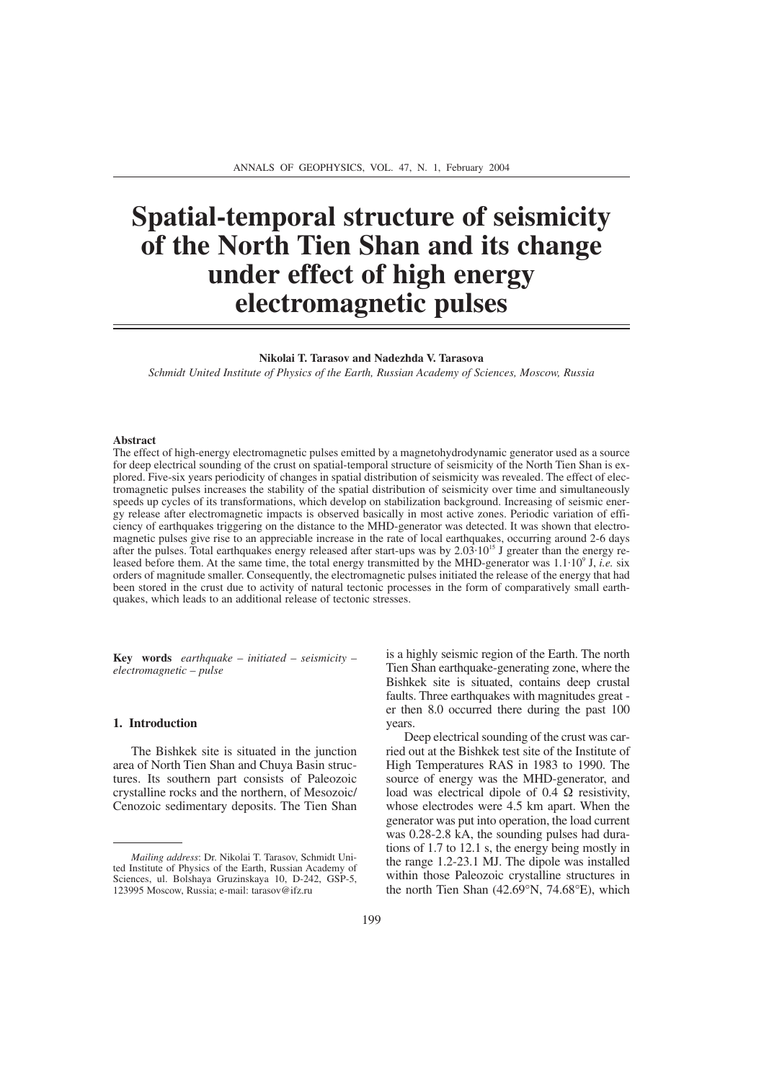# **Spatial-temporal structure of seismicity of the North Tien Shan and its change under effect of high energy electromagnetic pulses**

#### **Nikolai T. Tarasov and Nadezhda V. Tarasova**

*Schmidt United Institute of Physics of the Earth, Russian Academy of Sciences, Moscow, Russia*

#### **Abstract**

The effect of high-energy electromagnetic pulses emitted by a magnetohydrodynamic generator used as a source for deep electrical sounding of the crust on spatial-temporal structure of seismicity of the North Tien Shan is explored. Five-six years periodicity of changes in spatial distribution of seismicity was revealed. The effect of electromagnetic pulses increases the stability of the spatial distribution of seismicity over time and simultaneously speeds up cycles of its transformations, which develop on stabilization background. Increasing of seismic energy release after electromagnetic impacts is observed basically in most active zones. Periodic variation of efficiency of earthquakes triggering on the distance to the MHD-generator was detected. It was shown that electromagnetic pulses give rise to an appreciable increase in the rate of local earthquakes, occurring around 2-6 days after the pulses. Total earthquakes energy released after start-ups was by 2.03⋅10<sup>15</sup> J greater than the energy released before them. At the same time, the total energy transmitted by the MHD-generator was 1.1⋅109 J, *i.e.* six orders of magnitude smaller. Consequently, the electromagnetic pulses initiated the release of the energy that had been stored in the crust due to activity of natural tectonic processes in the form of comparatively small earthquakes, which leads to an additional release of tectonic stresses.

**Key words** *earthquake – initiated – seismicity – electromagnetic – pulse*

## **1. Introduction**

The Bishkek site is situated in the junction area of North Tien Shan and Chuya Basin structures. Its southern part consists of Paleozoic crystalline rocks and the northern, of Mesozoic/ Cenozoic sedimentary deposits. The Tien Shan

is a highly seismic region of the Earth. The north Tien Shan earthquake-generating zone, where the Bishkek site is situated, contains deep crustal faults. Three earthquakes with magnitudes great er then 8.0 occurred there during the past 100 years.

Deep electrical sounding of the crust was carried out at the Bishkek test site of the Institute of High Temperatures RAS in 1983 to 1990. The source of energy was the MHD-generator, and load was electrical dipole of 0.4  $\Omega$  resistivity, whose electrodes were 4.5 km apart. When the generator was put into operation, the load current was 0.28-2.8 kA, the sounding pulses had durations of 1.7 to 12.1 s, the energy being mostly in the range 1.2-23.1 MJ. The dipole was installed within those Paleozoic crystalline structures in the north Tien Shan (42.69°N, 74.68°E), which

*Mailing address*: Dr. Nikolai T. Tarasov, Schmidt United Institute of Physics of the Earth, Russian Academy of Sciences, ul. Bolshaya Gruzinskaya 10, D-242, GSP-5, 123995 Moscow, Russia; e-mail: tarasov@ifz.ru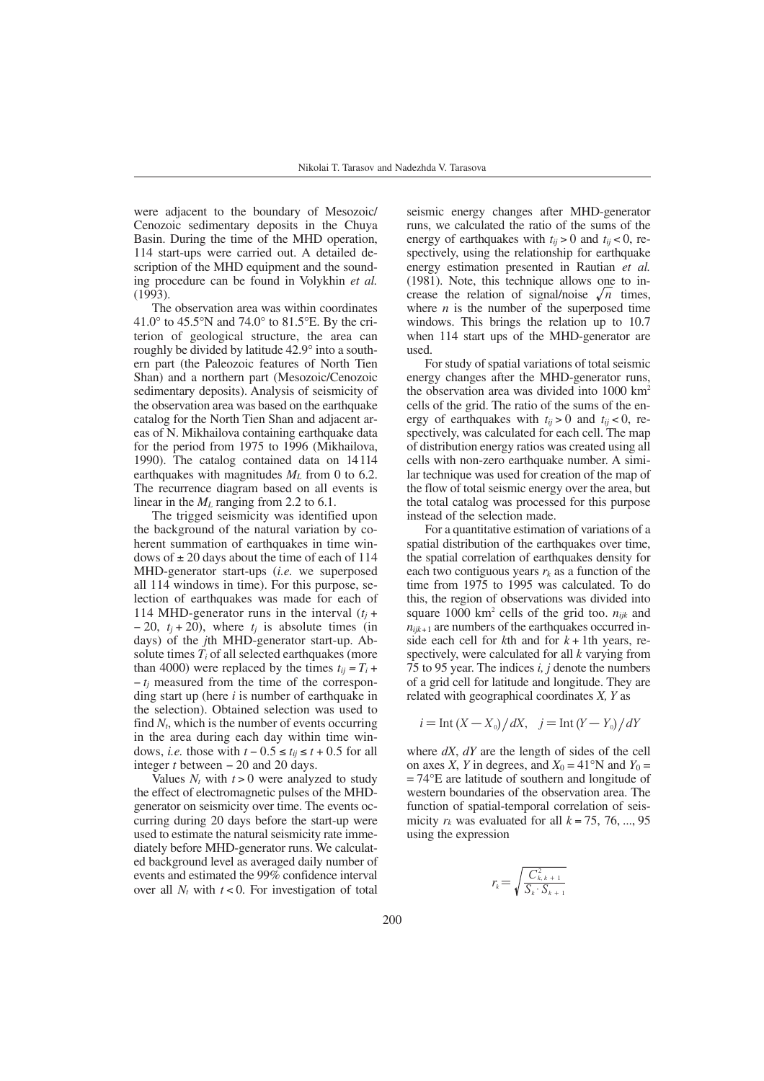were adjacent to the boundary of Mesozoic/ Cenozoic sedimentary deposits in the Chuya Basin. During the time of the MHD operation, 114 start-ups were carried out. A detailed description of the MHD equipment and the sounding procedure can be found in Volykhin *et al.* (1993).

The observation area was within coordinates 41.0° to 45.5°N and 74.0° to 81.5°E. By the criterion of geological structure, the area can roughly be divided by latitude 42.9° into a southern part (the Paleozoic features of North Tien Shan) and a northern part (Mesozoic/Cenozoic sedimentary deposits). Analysis of seismicity of the observation area was based on the earthquake catalog for the North Tien Shan and adjacent areas of N. Mikhailova containing earthquake data for the period from 1975 to 1996 (Mikhailova, 1990). The catalog contained data on 14114 earthquakes with magnitudes  $M_L$  from 0 to 6.2. The recurrence diagram based on all events is linear in the *ML* ranging from 2.2 to 6.1.

The trigged seismicity was identified upon the background of the natural variation by coherent summation of earthquakes in time windows of  $\pm$  20 days about the time of each of 114 MHD-generator start-ups (*i.e.* we superposed all 114 windows in time). For this purpose, selection of earthquakes was made for each of 114 MHD-generator runs in the interval  $(t<sub>i</sub> +$  $-20$ ,  $t_i + 20$ ), where  $t_i$  is absolute times (in days) of the *j*th MHD-generator start-up. Absolute times  $T_i$  of all selected earthquakes (more than 4000) were replaced by the times  $t_{ii} = T_i +$ − *tj* measured from the time of the corresponding start up (here *i* is number of earthquake in the selection). Obtained selection was used to find  $N_t$ , which is the number of events occurring in the area during each day within time windows, *i.e.* those with  $t - 0.5 \le t_{ij} \le t + 0.5$  for all integer *t* between − 20 and 20 days.

Values  $N_t$  with  $t > 0$  were analyzed to study the effect of electromagnetic pulses of the MHDgenerator on seismicity over time. The events occurring during 20 days before the start-up were used to estimate the natural seismicity rate immediately before MHD-generator runs. We calculated background level as averaged daily number of events and estimated the 99% confidence interval over all  $N_t$  with  $t < 0$ . For investigation of total

seismic energy changes after MHD-generator runs, we calculated the ratio of the sums of the energy of earthquakes with  $t_{ij} > 0$  and  $t_{ij} < 0$ , respectively, using the relationship for earthquake energy estimation presented in Rautian *et al.* (1981). Note, this technique allows one to increase the relation of signal/noise  $\sqrt{n}$  times, where  $n$  is the number of the superposed time windows. This brings the relation up to 10.7 when 114 start ups of the MHD-generator are used.

For study of spatial variations of total seismic energy changes after the MHD-generator runs, the observation area was divided into  $1000 \text{ km}^2$ cells of the grid. The ratio of the sums of the energy of earthquakes with  $t_{ij} > 0$  and  $t_{ij} < 0$ , respectively, was calculated for each cell. The map of distribution energy ratios was created using all cells with non-zero earthquake number. A similar technique was used for creation of the map of the flow of total seismic energy over the area, but the total catalog was processed for this purpose instead of the selection made.

For a quantitative estimation of variations of a spatial distribution of the earthquakes over time, the spatial correlation of earthquakes density for each two contiguous years  $r_k$  as a function of the time from 1975 to 1995 was calculated. To do this, the region of observations was divided into square 1000 km<sup>2</sup> cells of the grid too.  $n_{ijk}$  and  $n_{ijk+1}$  are numbers of the earthquakes occurred inside each cell for  $k$ th and for  $k + 1$ th years, respectively, were calculated for all *k* varying from 75 to 95 year. The indices *i, j* denote the numbers of a grid cell for latitude and longitude. They are related with geographical coordinates *X, Y* as

$$
i = \text{Int}\left(X - X_{0}\right)/dX, \quad j = \text{Int}\left(Y - Y_{0}\right)/dY
$$

where *dX*, *dY* are the length of sides of the cell on axes *X*, *Y* in degrees, and  $X_0 = 41^\circ N$  and  $Y_0 =$ = 74°E are latitude of southern and longitude of western boundaries of the observation area. The function of spatial-temporal correlation of seismicity  $r_k$  was evaluated for all  $k = 75, 76, ..., 95$ using the expression

$$
r_k = \sqrt{\frac{C_{k,k+1}^2}{S_k \cdot S_{k+1}}}
$$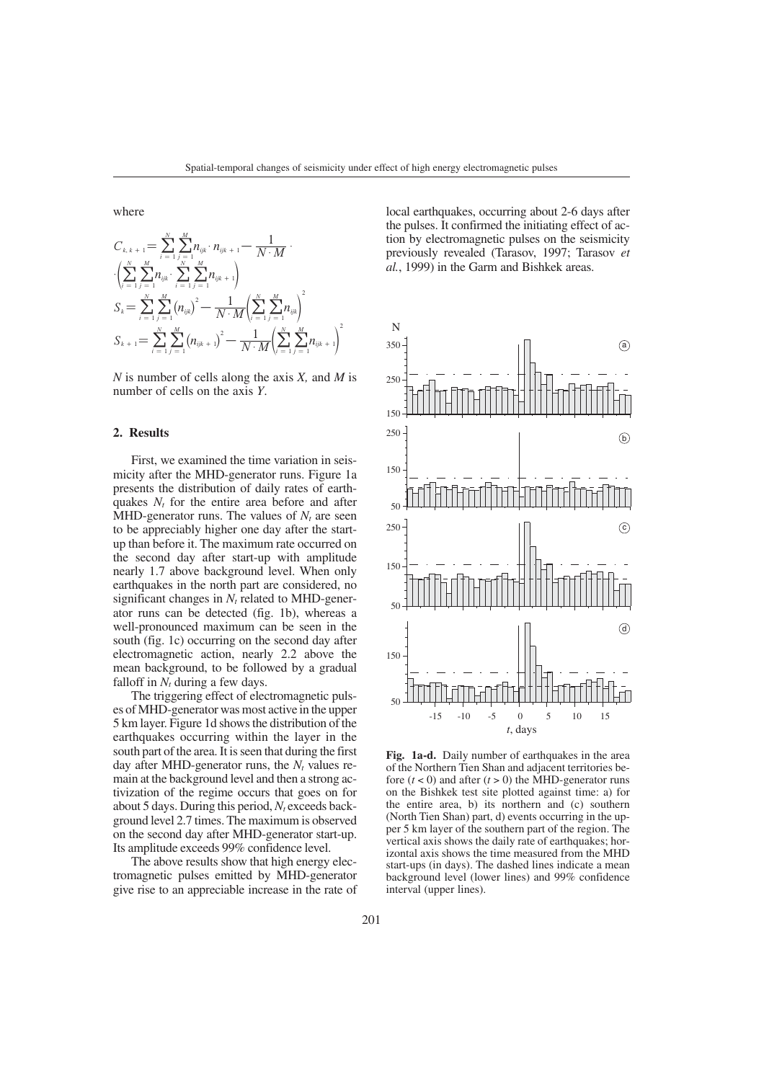where

$$
C_{k,k+1} = \sum_{i=1}^{N} \sum_{j=1}^{M} n_{ijk} \cdot n_{ik+1} - \frac{1}{N \cdot M} \cdot \\ \cdot \left( \sum_{i=1}^{N} \sum_{j=1}^{M} n_{ijk} \cdot \sum_{i=1}^{N} \sum_{j=1}^{M} n_{ik+1} \right) \\ S_k = \sum_{i=1}^{N} \sum_{j=1}^{M} \left( n_{ijk} \right)^2 - \frac{1}{N \cdot M} \left( \sum_{i=1}^{N} \sum_{j=1}^{M} n_{ijk} \right)^2 \\ S_{k+1} = \sum_{i=1}^{N} \sum_{j=1}^{M} \left( n_{ijk+1} \right)^2 - \frac{1}{N \cdot M} \left( \sum_{i=1}^{N} \sum_{j=1}^{M} n_{ijk+1} \right)^2
$$

*N* is number of cells along the axis *X,* and *M* is number of cells on the axis *Y*.

## **2. Results**

First, we examined the time variation in seismicity after the MHD-generator runs. Figure 1a presents the distribution of daily rates of earthquakes  $N_t$  for the entire area before and after MHD-generator runs. The values of  $N_t$  are seen to be appreciably higher one day after the startup than before it. The maximum rate occurred on the second day after start-up with amplitude nearly 1.7 above background level. When only earthquakes in the north part are considered, no significant changes in  $N_t$  related to MHD-generator runs can be detected (fig. 1b), whereas a well-pronounced maximum can be seen in the south (fig. 1c) occurring on the second day after electromagnetic action, nearly 2.2 above the mean background, to be followed by a gradual falloff in  $N_t$  during a few days.

The triggering effect of electromagnetic pulses of MHD-generator was most active in the upper 5 km layer. Figure 1d shows the distribution of the earthquakes occurring within the layer in the south part of the area. It is seen that during the first day after MHD-generator runs, the  $N_t$  values remain at the background level and then a strong activization of the regime occurs that goes on for about 5 days. During this period,  $N_t$  exceeds background level 2.7 times. The maximum is observed on the second day after MHD-generator start-up. Its amplitude exceeds 99% confidence level.

The above results show that high energy electromagnetic pulses emitted by MHD-generator give rise to an appreciable increase in the rate of local earthquakes, occurring about 2-6 days after the pulses. It confirmed the initiating effect of action by electromagnetic pulses on the seismicity previously revealed (Tarasov, 1997; Tarasov *et al.*, 1999) in the Garm and Bishkek areas.



**Fig. 1a-d.** Daily number of earthquakes in the area of the Northern Tien Shan and adjacent territories before  $(t < 0)$  and after  $(t > 0)$  the MHD-generator runs on the Bishkek test site plotted against time: a) for the entire area, b) its northern and (c) southern (North Tien Shan) part, d) events occurring in the upper 5 km layer of the southern part of the region. The vertical axis shows the daily rate of earthquakes; horizontal axis shows the time measured from the MHD start-ups (in days). The dashed lines indicate a mean background level (lower lines) and 99% confidence interval (upper lines).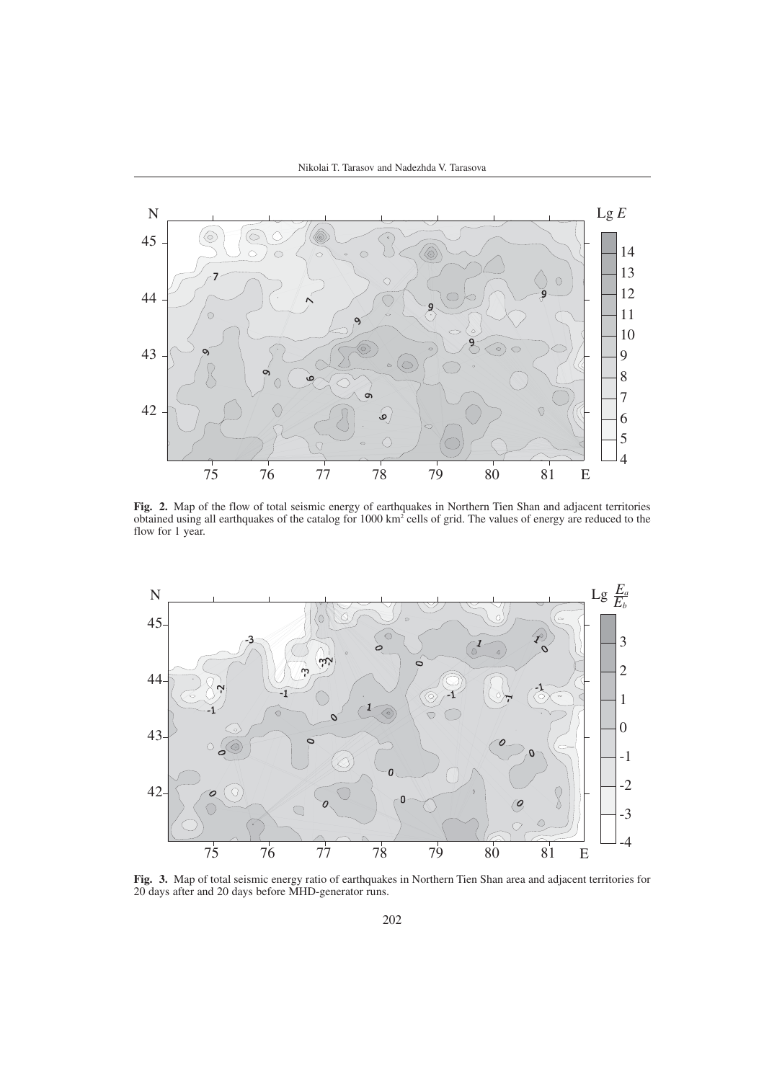Nikolai T. Tarasov and Nadezhda V. Tarasova



**Fig. 2.** Map of the flow of total seismic energy of earthquakes in Northern Tien Shan and adjacent territories obtained using all earthquakes of the catalog for 1000 km<sup>2</sup> cells of grid. The values of energy are reduced to the flow for 1 year.



**Fig. 3.** Map of total seismic energy ratio of earthquakes in Northern Tien Shan area and adjacent territories for 20 days after and 20 days before MHD-generator runs.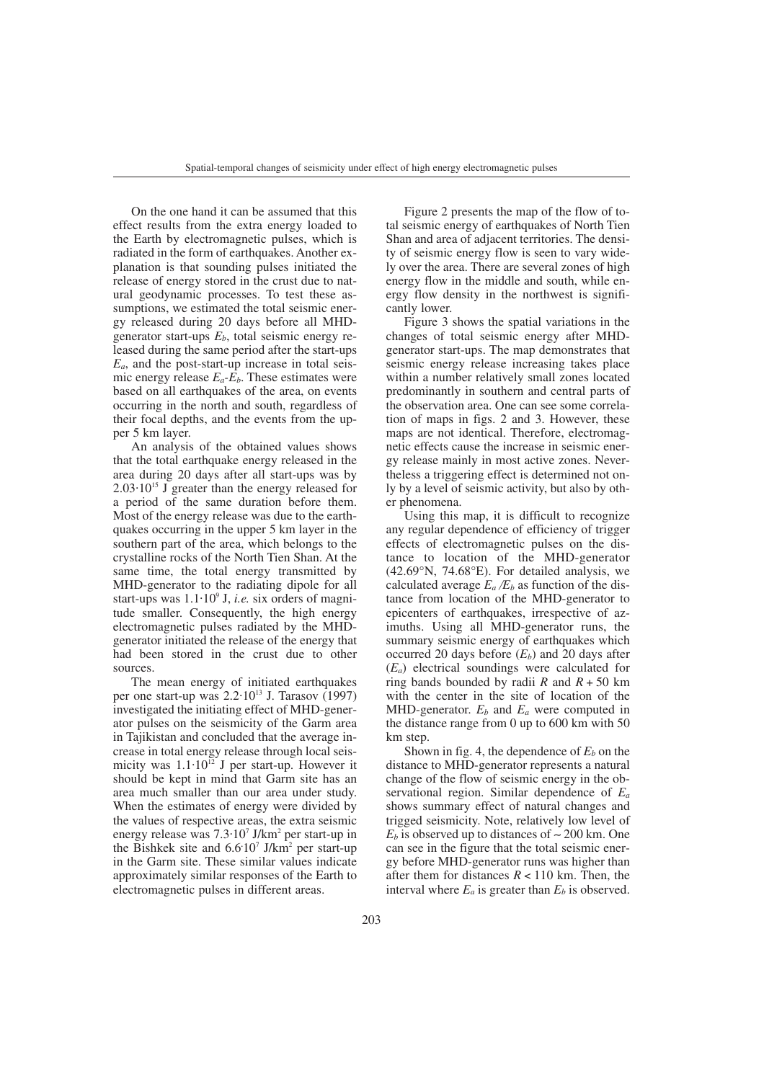On the one hand it can be assumed that this effect results from the extra energy loaded to the Earth by electromagnetic pulses, which is radiated in the form of earthquakes. Another explanation is that sounding pulses initiated the release of energy stored in the crust due to natural geodynamic processes. To test these assumptions, we estimated the total seismic energy released during 20 days before all MHDgenerator start-ups *Eb*, total seismic energy released during the same period after the start-ups  $E_a$ , and the post-start-up increase in total seismic energy release  $E_a - E_b$ . These estimates were based on all earthquakes of the area, on events occurring in the north and south, regardless of their focal depths, and the events from the upper 5 km layer.

An analysis of the obtained values shows that the total earthquake energy released in the area during 20 days after all start-ups was by  $2.03 \cdot 10^{15}$  J greater than the energy released for a period of the same duration before them. Most of the energy release was due to the earthquakes occurring in the upper 5 km layer in the southern part of the area, which belongs to the crystalline rocks of the North Tien Shan. At the same time, the total energy transmitted by MHD-generator to the radiating dipole for all start-ups was 1.1⋅109 J, *i.e.* six orders of magnitude smaller. Consequently, the high energy electromagnetic pulses radiated by the MHDgenerator initiated the release of the energy that had been stored in the crust due to other sources.

The mean energy of initiated earthquakes per one start-up was  $2.2 \cdot 10^{13}$  J. Tarasov (1997) investigated the initiating effect of MHD-generator pulses on the seismicity of the Garm area in Tajikistan and concluded that the average increase in total energy release through local seismicity was 1.1⋅10<sup>12</sup> J per start-up. However it should be kept in mind that Garm site has an area much smaller than our area under study. When the estimates of energy were divided by the values of respective areas, the extra seismic energy release was 7.3⋅107 J/km2 per start-up in the Bishkek site and 6.6**.** 107 J/km2 per start-up in the Garm site. These similar values indicate approximately similar responses of the Earth to electromagnetic pulses in different areas.

Figure 2 presents the map of the flow of total seismic energy of earthquakes of North Tien Shan and area of adjacent territories. The density of seismic energy flow is seen to vary widely over the area. There are several zones of high energy flow in the middle and south, while energy flow density in the northwest is significantly lower.

Figure 3 shows the spatial variations in the changes of total seismic energy after MHDgenerator start-ups. The map demonstrates that seismic energy release increasing takes place within a number relatively small zones located predominantly in southern and central parts of the observation area. One can see some correlation of maps in figs. 2 and 3. However, these maps are not identical. Therefore, electromagnetic effects cause the increase in seismic energy release mainly in most active zones. Nevertheless a triggering effect is determined not only by a level of seismic activity, but also by other phenomena.

Using this map, it is difficult to recognize any regular dependence of efficiency of trigger effects of electromagnetic pulses on the distance to location of the MHD-generator (42.69°N, 74.68°E). For detailed analysis, we calculated average  $E_a/E_b$  as function of the distance from location of the MHD-generator to epicenters of earthquakes, irrespective of azimuths. Using all MHD-generator runs, the summary seismic energy of earthquakes which occurred 20 days before  $(E_b)$  and 20 days after (*Ea*) electrical soundings were calculated for ring bands bounded by radii  $R$  and  $R + 50$  km with the center in the site of location of the MHD-generator.  $E<sub>b</sub>$  and  $E<sub>a</sub>$  were computed in the distance range from 0 up to 600 km with 50 km step.

Shown in fig. 4, the dependence of  $E_b$  on the distance to MHD-generator represents a natural change of the flow of seismic energy in the observational region. Similar dependence of *Ea* shows summary effect of natural changes and trigged seismicity. Note, relatively low level of  $E<sub>b</sub>$  is observed up to distances of  $\sim$  200 km. One can see in the figure that the total seismic energy before MHD-generator runs was higher than after them for distances  $R < 110$  km. Then, the interval where  $E_a$  is greater than  $E_b$  is observed.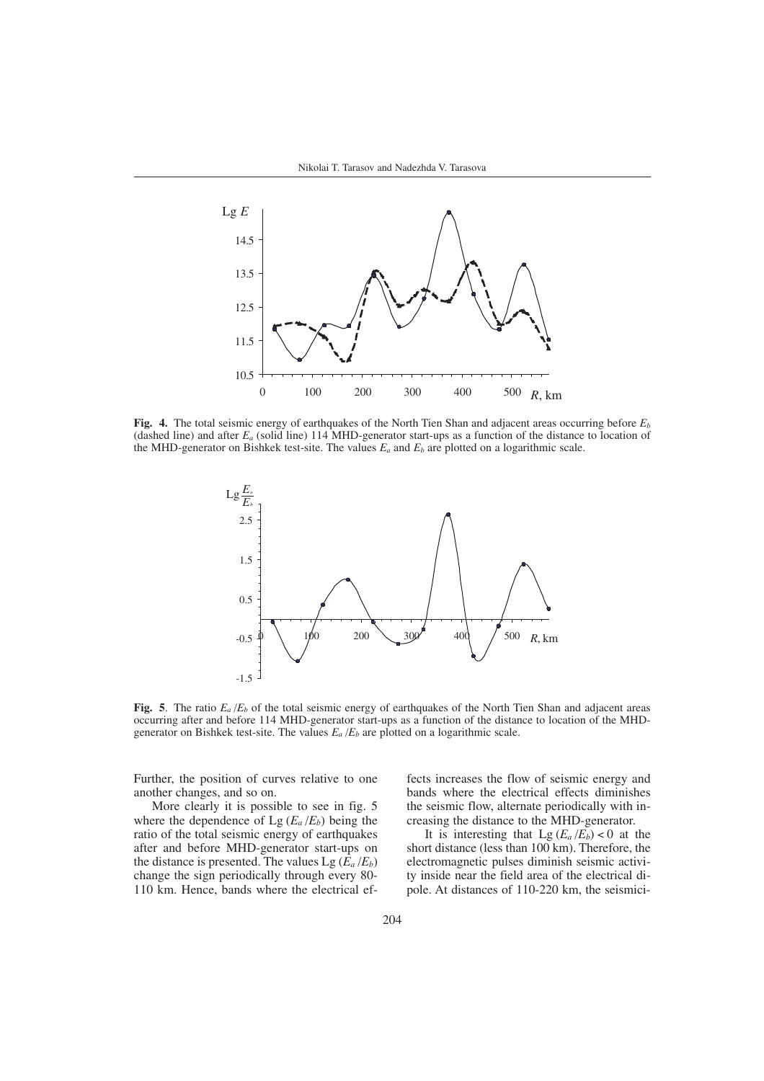

**Fig. 4.** The total seismic energy of earthquakes of the North Tien Shan and adjacent areas occurring before *Eb* (dashed line) and after *Ea* (solid line) 114 MHD-generator start-ups as a function of the distance to location of the MHD-generator on Bishkek test-site. The values *Ea* and *Eb* are plotted on a logarithmic scale.



**Fig. 5**. The ratio *Ea* /*Eb* of the total seismic energy of earthquakes of the North Tien Shan and adjacent areas occurring after and before 114 MHD-generator start-ups as a function of the distance to location of the MHDgenerator on Bishkek test-site. The values  $E_a/E_b$  are plotted on a logarithmic scale.

Further, the position of curves relative to one another changes, and so on.

More clearly it is possible to see in fig. 5 where the dependence of  $Lg(E_a/E_b)$  being the ratio of the total seismic energy of earthquakes after and before MHD-generator start-ups on the distance is presented. The values Lg  $(\hat{E}_a / E_b)$ change the sign periodically through every 80- 110 km. Hence, bands where the electrical effects increases the flow of seismic energy and bands where the electrical effects diminishes the seismic flow, alternate periodically with increasing the distance to the MHD-generator.

It is interesting that  $Lg(E_a/E_b) < 0$  at the short distance (less than 100 km). Therefore, the electromagnetic pulses diminish seismic activity inside near the field area of the electrical dipole. At distances of 110-220 km, the seismici-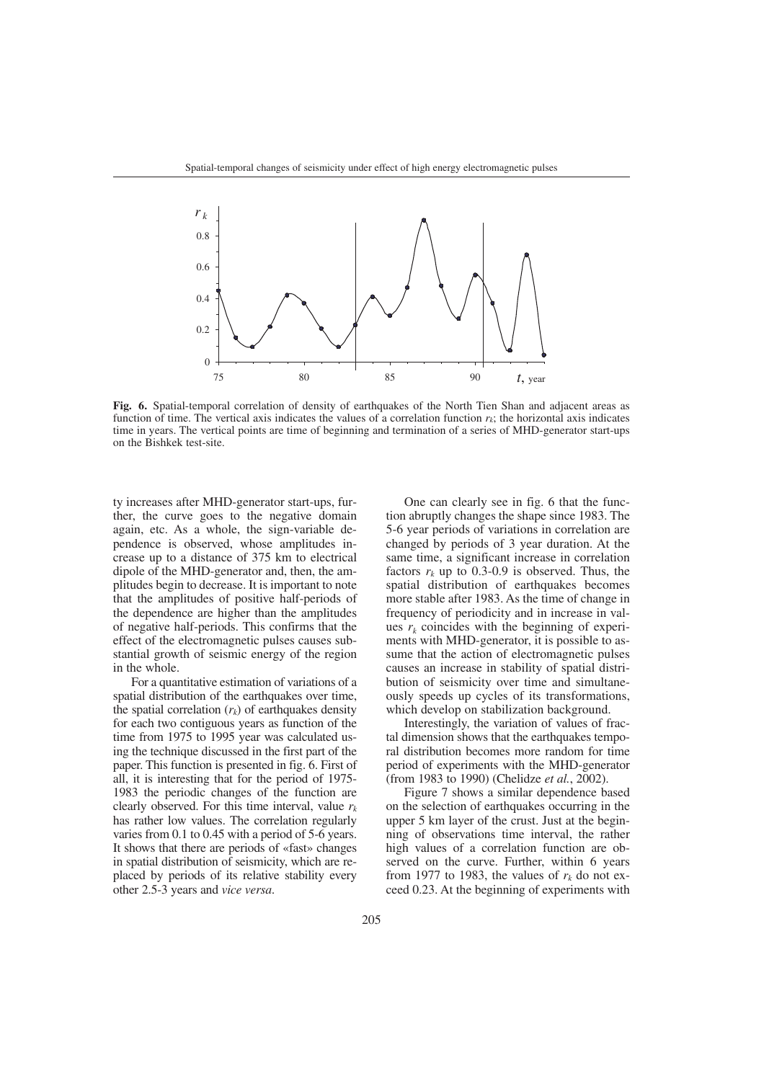

**Fig. 6.** Spatial-temporal correlation of density of earthquakes of the North Tien Shan and adjacent areas as function of time. The vertical axis indicates the values of a correlation function  $r_k$ ; the horizontal axis indicates time in years. The vertical points are time of beginning and termination of a series of MHD-generator start-ups on the Bishkek test-site.

ty increases after MHD-generator start-ups, further, the curve goes to the negative domain again, etc. As a whole, the sign-variable dependence is observed, whose amplitudes increase up to a distance of 375 km to electrical dipole of the MHD-generator and, then, the amplitudes begin to decrease. It is important to note that the amplitudes of positive half-periods of the dependence are higher than the amplitudes of negative half-periods. This confirms that the effect of the electromagnetic pulses causes substantial growth of seismic energy of the region in the whole.

For a quantitative estimation of variations of a spatial distribution of the earthquakes over time, the spatial correlation  $(r_k)$  of earthquakes density for each two contiguous years as function of the time from 1975 to 1995 year was calculated using the technique discussed in the first part of the paper. This function is presented in fig. 6. First of all, it is interesting that for the period of 1975- 1983 the periodic changes of the function are clearly observed. For this time interval, value  $r_k$ has rather low values. The correlation regularly varies from 0.1 to 0.45 with a period of 5-6 years. It shows that there are periods of «fast» changes in spatial distribution of seismicity, which are replaced by periods of its relative stability every other 2.5-3 years and *vice versa*.

One can clearly see in fig. 6 that the function abruptly changes the shape since 1983. The 5-6 year periods of variations in correlation are changed by periods of 3 year duration. At the same time, a significant increase in correlation factors  $r_k$  up to 0.3-0.9 is observed. Thus, the spatial distribution of earthquakes becomes more stable after 1983. As the time of change in frequency of periodicity and in increase in values  $r_k$  coincides with the beginning of experiments with MHD-generator, it is possible to assume that the action of electromagnetic pulses causes an increase in stability of spatial distribution of seismicity over time and simultaneously speeds up cycles of its transformations, which develop on stabilization background.

Interestingly, the variation of values of fractal dimension shows that the earthquakes temporal distribution becomes more random for time period of experiments with the MHD-generator (from 1983 to 1990) (Chelidze *et al.*, 2002).

Figure 7 shows a similar dependence based on the selection of earthquakes occurring in the upper 5 km layer of the crust. Just at the beginning of observations time interval, the rather high values of a correlation function are observed on the curve. Further, within 6 years from 1977 to 1983, the values of  $r_k$  do not exceed 0.23. At the beginning of experiments with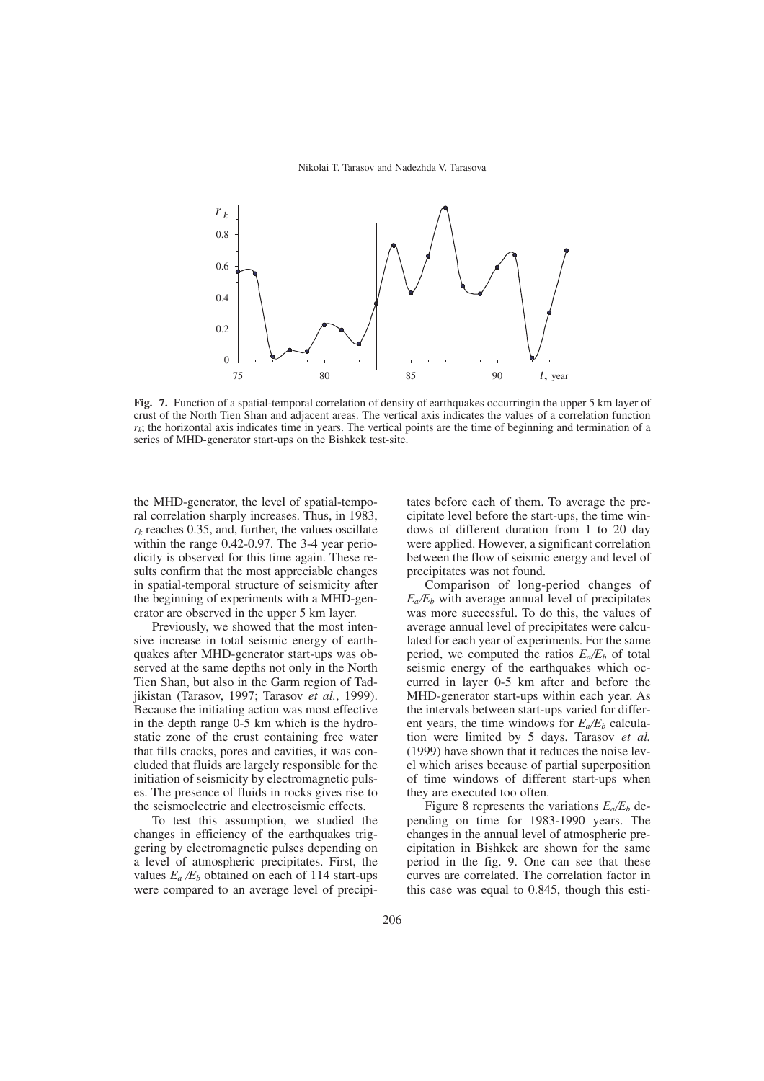

**Fig. 7.** Function of a spatial-temporal correlation of density of earthquakes occurringin the upper 5 km layer of crust of the North Tien Shan and adjacent areas. The vertical axis indicates the values of a correlation function  $r_k$ ; the horizontal axis indicates time in years. The vertical points are the time of beginning and termination of a series of MHD-generator start-ups on the Bishkek test-site.

the MHD-generator, the level of spatial-temporal correlation sharply increases. Thus, in 1983,  $r_k$  reaches 0.35, and, further, the values oscillate within the range 0.42-0.97. The 3-4 year periodicity is observed for this time again. These results confirm that the most appreciable changes in spatial-temporal structure of seismicity after the beginning of experiments with a MHD-generator are observed in the upper 5 km layer.

Previously, we showed that the most intensive increase in total seismic energy of earthquakes after MHD-generator start-ups was observed at the same depths not only in the North Tien Shan, but also in the Garm region of Tadjikistan (Tarasov, 1997; Tarasov *et al.*, 1999). Because the initiating action was most effective in the depth range 0-5 km which is the hydrostatic zone of the crust containing free water that fills cracks, pores and cavities, it was concluded that fluids are largely responsible for the initiation of seismicity by electromagnetic pulses. The presence of fluids in rocks gives rise to the seismoelectric and electroseismic effects.

To test this assumption, we studied the changes in efficiency of the earthquakes triggering by electromagnetic pulses depending on a level of atmospheric precipitates. First, the values  $E_a/E_b$  obtained on each of 114 start-ups were compared to an average level of precipitates before each of them. To average the precipitate level before the start-ups, the time windows of different duration from 1 to 20 day were applied. However, a significant correlation between the flow of seismic energy and level of precipitates was not found.

Comparison of long-period changes of  $E_a/E_b$  with average annual level of precipitates was more successful. To do this, the values of average annual level of precipitates were calculated for each year of experiments. For the same period, we computed the ratios  $E_a/E_b$  of total seismic energy of the earthquakes which occurred in layer 0-5 km after and before the MHD-generator start-ups within each year. As the intervals between start-ups varied for different years, the time windows for  $E_a/E_b$  calculation were limited by 5 days. Tarasov *et al.* (1999) have shown that it reduces the noise level which arises because of partial superposition of time windows of different start-ups when they are executed too often.

Figure 8 represents the variations  $E_a/E_b$  depending on time for 1983-1990 years. The changes in the annual level of atmospheric precipitation in Bishkek are shown for the same period in the fig. 9. One can see that these curves are correlated. The correlation factor in this case was equal to 0.845, though this esti-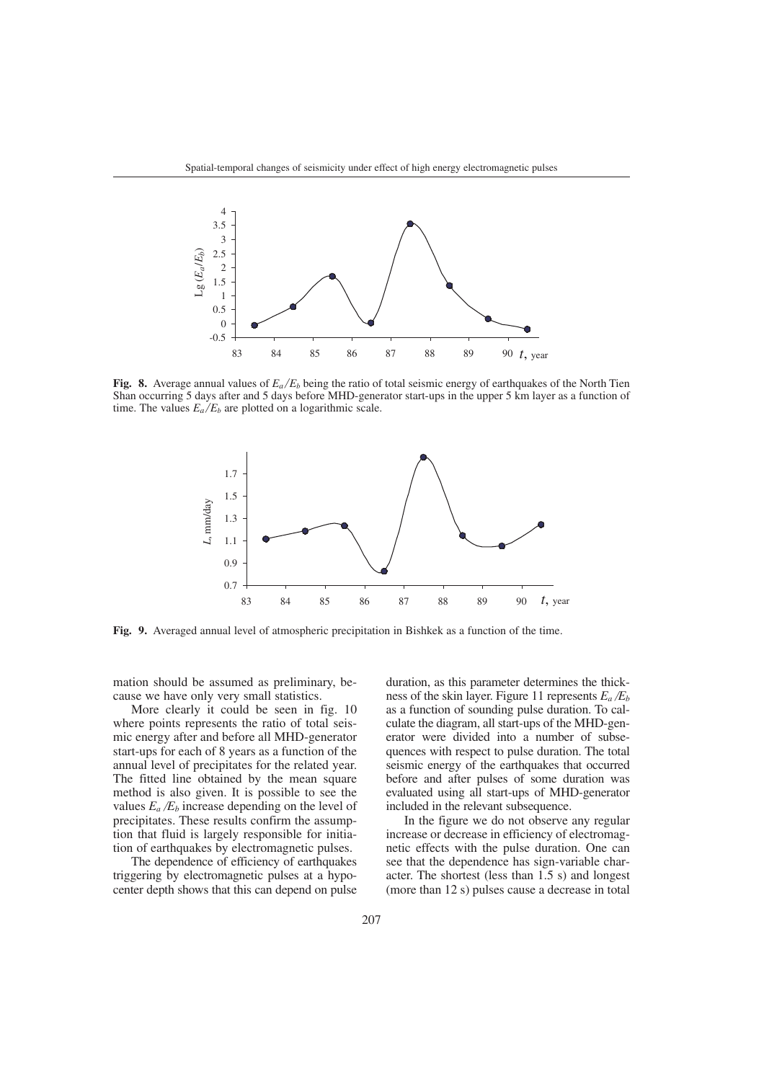

**Fig. 8.** Average annual values of  $E_a/E_b$  being the ratio of total seismic energy of earthquakes of the North Tien Shan occurring 5 days after and 5 days before MHD-generator start-ups in the upper 5 km layer as a function of time. The values  $E_a/E_b$  are plotted on a logarithmic scale.



**Fig. 9.** Averaged annual level of atmospheric precipitation in Bishkek as a function of the time.

mation should be assumed as preliminary, because we have only very small statistics.

More clearly it could be seen in fig. 10 where points represents the ratio of total seismic energy after and before all MHD-generator start-ups for each of 8 years as a function of the annual level of precipitates for the related year. The fitted line obtained by the mean square method is also given. It is possible to see the values  $E_a/E_b$  increase depending on the level of precipitates. These results confirm the assumption that fluid is largely responsible for initiation of earthquakes by electromagnetic pulses.

The dependence of efficiency of earthquakes triggering by electromagnetic pulses at a hypocenter depth shows that this can depend on pulse duration, as this parameter determines the thickness of the skin layer. Figure 11 represents  $E_a/E_b$ as a function of sounding pulse duration. To calculate the diagram, all start-ups of the MHD-generator were divided into a number of subsequences with respect to pulse duration. The total seismic energy of the earthquakes that occurred before and after pulses of some duration was evaluated using all start-ups of MHD-generator included in the relevant subsequence.

In the figure we do not observe any regular increase or decrease in efficiency of electromagnetic effects with the pulse duration. One can see that the dependence has sign-variable character. The shortest (less than 1.5 s) and longest (more than 12 s) pulses cause a decrease in total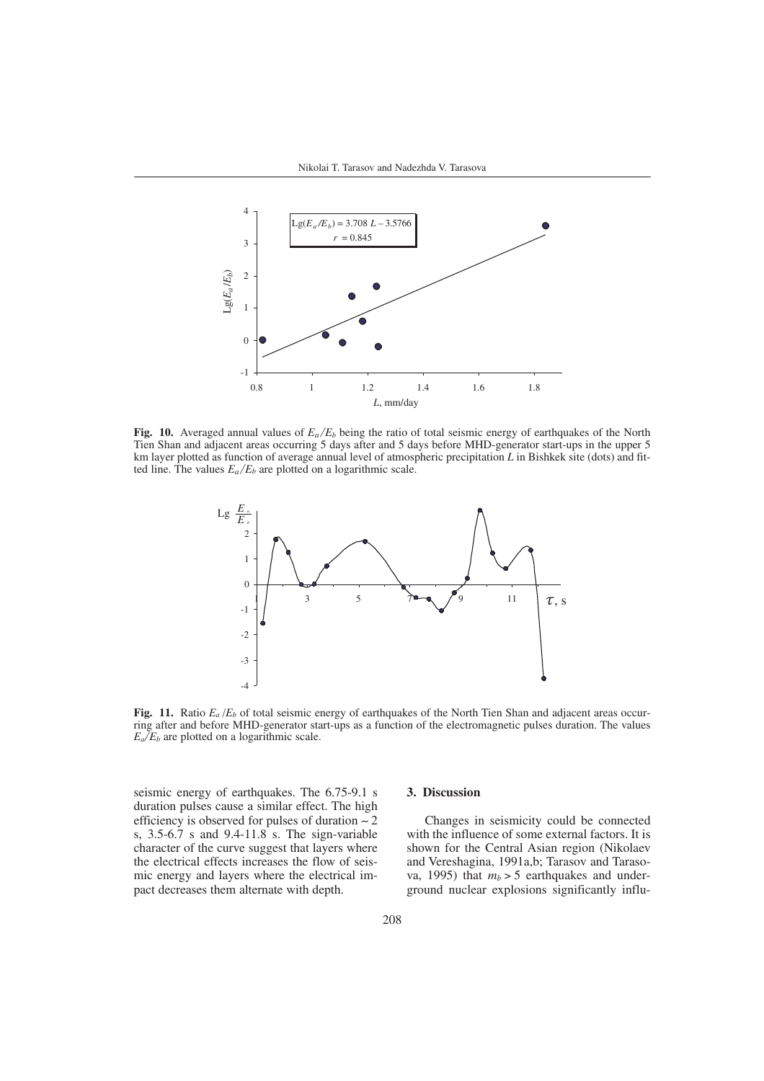

**Fig. 10.** Averaged annual values of  $E_a/E_b$  being the ratio of total seismic energy of earthquakes of the North Tien Shan and adjacent areas occurring 5 days after and 5 days before MHD-generator start-ups in the upper 5 km layer plotted as function of average annual level of atmospheric precipitation *L* in Bishkek site (dots) and fitted line. The values  $E_a/E_b$  are plotted on a logarithmic scale.



**Fig. 11.** Ratio  $E_a/E_b$  of total seismic energy of earthquakes of the North Tien Shan and adjacent areas occurring after and before MHD-generator start-ups as a function of the electromagnetic pulses duration. The values  $E_a/E_b$  are plotted on a logarithmic scale.

seismic energy of earthquakes. The 6.75-9.1 s duration pulses cause a similar effect. The high efficiency is observed for pulses of duration ∼ 2 s, 3.5-6.7 s and 9.4-11.8 s. The sign-variable character of the curve suggest that layers where the electrical effects increases the flow of seismic energy and layers where the electrical impact decreases them alternate with depth.

## **3. Discussion**

Changes in seismicity could be connected with the influence of some external factors. It is shown for the Central Asian region (Nikolaev and Vereshagina, 1991a,b; Tarasov and Tarasova, 1995) that  $m_b > 5$  earthquakes and underground nuclear explosions significantly influ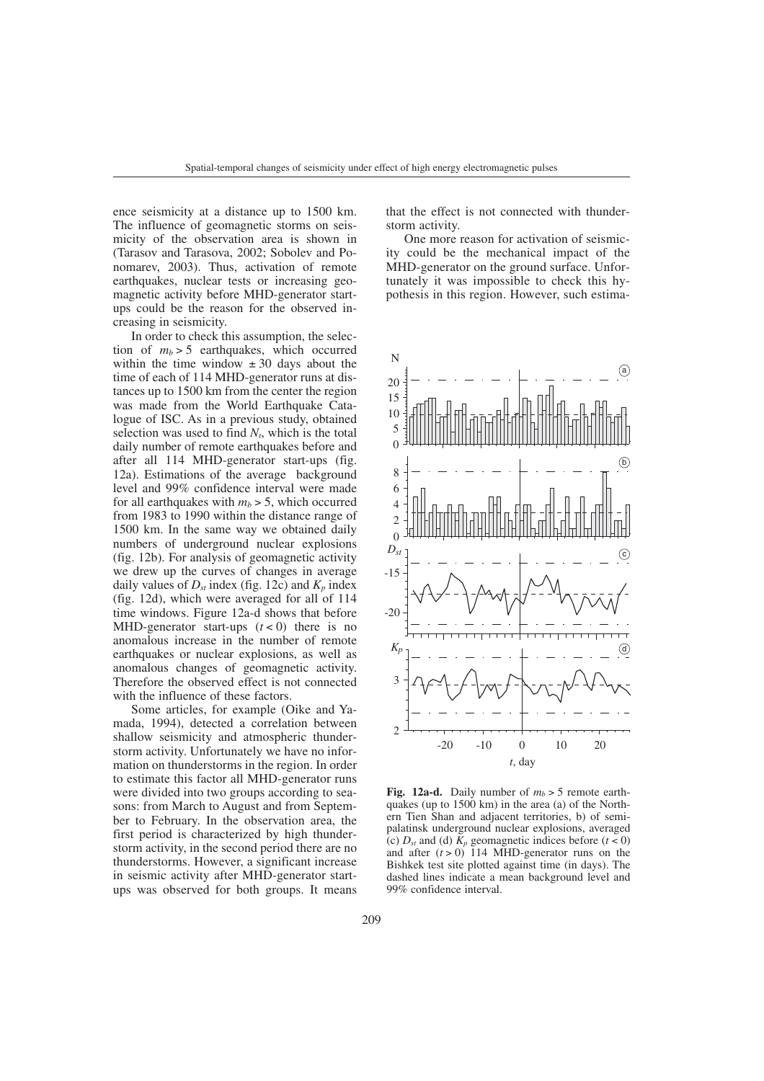ence seismicity at a distance up to 1500 km. The influence of geomagnetic storms on seismicity of the observation area is shown in (Tarasov and Tarasova, 2002; Sobolev and Ponomarev, 2003). Thus, activation of remote earthquakes, nuclear tests or increasing geomagnetic activity before MHD-generator startups could be the reason for the observed increasing in seismicity.

In order to check this assumption, the selection of  $m_b > 5$  earthquakes, which occurred within the time window  $\pm 30$  days about the time of each of 114 MHD-generator runs at distances up to 1500 km from the center the region was made from the World Earthquake Catalogue of ISC. As in a previous study, obtained selection was used to find  $N_t$ , which is the total daily number of remote earthquakes before and after all 114 MHD-generator start-ups (fig. 12a). Estimations of the average background level and 99% confidence interval were made for all earthquakes with  $m_b > 5$ , which occurred from 1983 to 1990 within the distance range of 1500 km. In the same way we obtained daily numbers of underground nuclear explosions (fig. 12b). For analysis of geomagnetic activity we drew up the curves of changes in average daily values of  $D_{st}$  index (fig. 12c) and  $K_p$  index (fig. 12d), which were averaged for all of 114 time windows. Figure 12a-d shows that before MHD-generator start-ups  $(t < 0)$  there is no anomalous increase in the number of remote earthquakes or nuclear explosions, as well as anomalous changes of geomagnetic activity. Therefore the observed effect is not connected with the influence of these factors.

Some articles, for example (Oike and Yamada, 1994), detected a correlation between shallow seismicity and atmospheric thunderstorm activity. Unfortunately we have no information on thunderstorms in the region. In order to estimate this factor all MHD-generator runs were divided into two groups according to seasons: from March to August and from September to February. In the observation area, the first period is characterized by high thunderstorm activity, in the second period there are no thunderstorms. However, a significant increase in seismic activity after MHD-generator startups was observed for both groups. It means

that the effect is not connected with thunderstorm activity.

One more reason for activation of seismicity could be the mechanical impact of the MHD-generator on the ground surface. Unfortunately it was impossible to check this hypothesis in this region. However, such estima-



**Fig. 12a-d.** Daily number of  $m_b > 5$  remote earthquakes (up to 1500 km) in the area (a) of the Northern Tien Shan and adjacent territories, b) of semipalatinsk underground nuclear explosions, averaged (c)  $D_{st}$  and (d)  $\bar{K}_p$  geomagnetic indices before ( $t < 0$ ) and after  $(t > 0)$  114 MHD-generator runs on the Bishkek test site plotted against time (in days). The dashed lines indicate a mean background level and 99% confidence interval.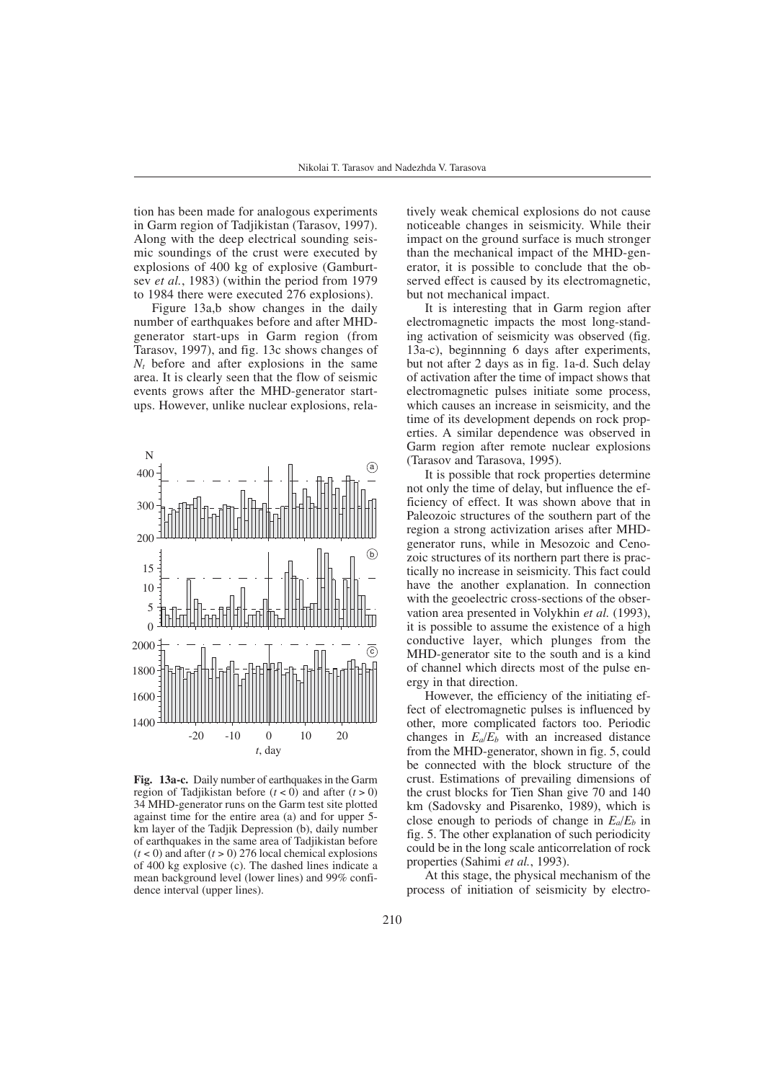tion has been made for analogous experiments in Garm region of Tadjikistan (Tarasov, 1997). Along with the deep electrical sounding seismic soundings of the crust were executed by explosions of 400 kg of explosive (Gamburtsev *et al.*, 1983) (within the period from 1979 to 1984 there were executed 276 explosions).

Figure 13a,b show changes in the daily number of earthquakes before and after MHDgenerator start-ups in Garm region (from Tarasov, 1997), and fig. 13c shows changes of *Nt* before and after explosions in the same area. It is clearly seen that the flow of seismic events grows after the MHD-generator startups. However, unlike nuclear explosions, rela-



**Fig. 13a-c.** Daily number of earthquakes in the Garm region of Tadjikistan before  $(t < 0)$  and after  $(t > 0)$ 34 MHD-generator runs on the Garm test site plotted against time for the entire area (a) and for upper 5 km layer of the Tadjik Depression (b), daily number of earthquakes in the same area of Tadjikistan before  $(t < 0)$  and after  $(t > 0)$  276 local chemical explosions of 400 kg explosive (c). The dashed lines indicate a mean background level (lower lines) and 99% confidence interval (upper lines).

tively weak chemical explosions do not cause noticeable changes in seismicity. While their impact on the ground surface is much stronger than the mechanical impact of the MHD-generator, it is possible to conclude that the observed effect is caused by its electromagnetic, but not mechanical impact.

It is interesting that in Garm region after electromagnetic impacts the most long-standing activation of seismicity was observed (fig. 13a-c), beginnning 6 days after experiments, but not after 2 days as in fig. 1a-d. Such delay of activation after the time of impact shows that electromagnetic pulses initiate some process, which causes an increase in seismicity, and the time of its development depends on rock properties. A similar dependence was observed in Garm region after remote nuclear explosions (Tarasov and Tarasova, 1995).

It is possible that rock properties determine not only the time of delay, but influence the efficiency of effect. It was shown above that in Paleozoic structures of the southern part of the region a strong activization arises after MHDgenerator runs, while in Mesozoic and Cenozoic structures of its northern part there is practically no increase in seismicity. This fact could have the another explanation. In connection with the geoelectric cross-sections of the observation area presented in Volykhin *et al.* (1993), it is possible to assume the existence of a high conductive layer, which plunges from the MHD-generator site to the south and is a kind of channel which directs most of the pulse energy in that direction.

However, the efficiency of the initiating effect of electromagnetic pulses is influenced by other, more complicated factors too. Periodic changes in  $E_a/E_b$  with an increased distance from the MHD-generator, shown in fig. 5, could be connected with the block structure of the crust. Estimations of prevailing dimensions of the crust blocks for Tien Shan give 70 and 140 km (Sadovsky and Pisarenko, 1989), which is close enough to periods of change in  $E_a/E_b$  in fig. 5. The other explanation of such periodicity could be in the long scale anticorrelation of rock properties (Sahimi *et al.*, 1993).

At this stage, the physical mechanism of the process of initiation of seismicity by electro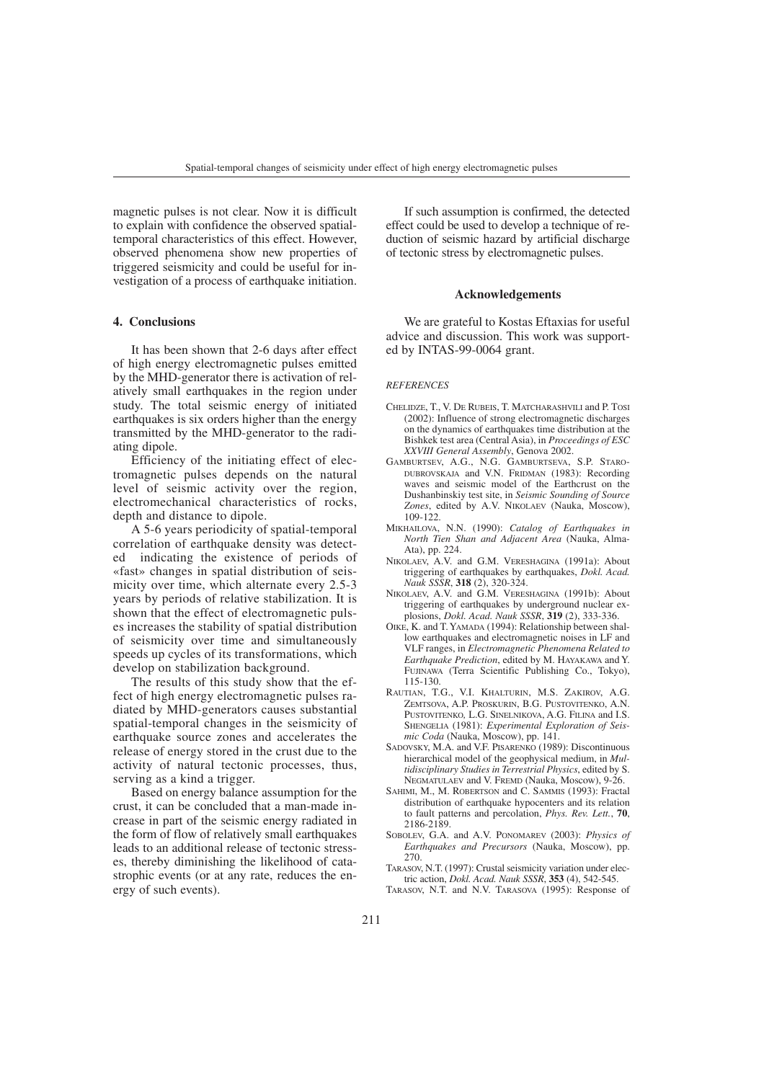magnetic pulses is not clear. Now it is difficult to explain with confidence the observed spatialtemporal characteristics of this effect. However, observed phenomena show new properties of triggered seismicity and could be useful for investigation of a process of earthquake initiation.

## **4. Conclusions**

It has been shown that 2-6 days after effect of high energy electromagnetic pulses emitted by the MHD-generator there is activation of relatively small earthquakes in the region under study. The total seismic energy of initiated earthquakes is six orders higher than the energy transmitted by the MHD-generator to the radiating dipole.

Efficiency of the initiating effect of electromagnetic pulses depends on the natural level of seismic activity over the region, electromechanical characteristics of rocks, depth and distance to dipole.

A 5-6 years periodicity of spatial-temporal correlation of earthquake density was detected indicating the existence of periods of indicating the existence of periods of «fast» changes in spatial distribution of seismicity over time, which alternate every 2.5-3 years by periods of relative stabilization. It is shown that the effect of electromagnetic pulses increases the stability of spatial distribution of seismicity over time and simultaneously speeds up cycles of its transformations, which develop on stabilization background.

The results of this study show that the effect of high energy electromagnetic pulses radiated by MHD-generators causes substantial spatial-temporal changes in the seismicity of earthquake source zones and accelerates the release of energy stored in the crust due to the activity of natural tectonic processes, thus, serving as a kind a trigger.

Based on energy balance assumption for the crust, it can be concluded that a man-made increase in part of the seismic energy radiated in the form of flow of relatively small earthquakes leads to an additional release of tectonic stresses, thereby diminishing the likelihood of catastrophic events (or at any rate, reduces the energy of such events).

If such assumption is confirmed, the detected effect could be used to develop a technique of reduction of seismic hazard by artificial discharge of tectonic stress by electromagnetic pulses.

#### **Acknowledgements**

We are grateful to Kostas Eftaxias for useful advice and discussion. This work was supported by INTAS-99-0064 grant.

#### *REFERENCES*

- CHELIDZE, T., V. DE RUBEIS, T. MATCHARASHVILI and P. TOSI (2002): Influence of strong electromagnetic discharges on the dynamics of earthquakes time distribution at the Bishkek test area (Central Asia), in *Proceedings of ESC XXVIII General Assembly*, Genova 2002.
- GAMBURTSEV, A.G., N.G. GAMBURTSEVA, S.P. STARO-DUBROVSKAJA and V.N. FRIDMAN (1983): Recording waves and seismic model of the Earthcrust on the Dushanbinskiy test site, in *Seismic Sounding of Source Zones*, edited by A.V. NIKOLAEV (Nauka, Moscow), 109-122.
- MIKHAILOVA, N.N. (1990): *Catalog of Earthquakes in North Tien Shan and Adjacent Area* (Nauka, Alma-Ata), pp. 224.
- NIKOLAEV, A.V. and G.M. VERESHAGINA (1991a): About triggering of earthquakes by earthquakes, *Dokl. Acad. Nauk SSSR*, **318** (2), 320-324.
- NIKOLAEV, A.V. and G.M. VERESHAGINA (1991b): About triggering of earthquakes by underground nuclear explosions, *Dokl. Acad. Nauk SSSR*, **319** (2), 333-336.
- OIKE, K. and T. YAMADA (1994): Relationship between shallow earthquakes and electromagnetic noises in LF and VLF ranges, in *Electromagnetic Phenomena Related to Earthquake Prediction*, edited by M. HAYAKAWA and Y. FUJINAWA (Terra Scientific Publishing Co., Tokyo), 115-130.
- RAUTIAN, T.G., V.I. KHALTURIN, M.S. ZAKIROV, A.G. ZEMTSOVA, A.P. PROSKURIN, B.G. PUSTOVITENKO, A.N. PUSTOVITENKO*,* L.G. SINELNIKOVA, A.G. FILINA and I.S. SHENGELIA (1981): *Experimental Exploration of Seismic Coda* (Nauka, Moscow), pp. 141.
- SADOVSKY, M.A. and V.F. PISARENKO (1989): Discontinuous hierarchical model of the geophysical medium, in *Multidisciplinary Studies in Terrestrial Physics*, edited by S. NEGMATULAEV and V. FREMD (Nauka, Moscow), 9-26.
- SAHIMI, M., M. ROBERTSON and C. SAMMIS (1993): Fractal distribution of earthquake hypocenters and its relation to fault patterns and percolation, *Phys. Rev. Lett.*, **70**, 2186-2189.
- SOBOLEV, G.A. and A.V. PONOMAREV (2003): *Physics of Earthquakes and Precursors* (Nauka, Moscow), pp. 270.
- TARASOV, N.T. (1997): Crustal seismicity variation under electric action, *Dokl. Acad. Nauk SSSR*, **353** (4), 542-545.
- TARASOV, N.T. and N.V. TARASOVA (1995): Response of